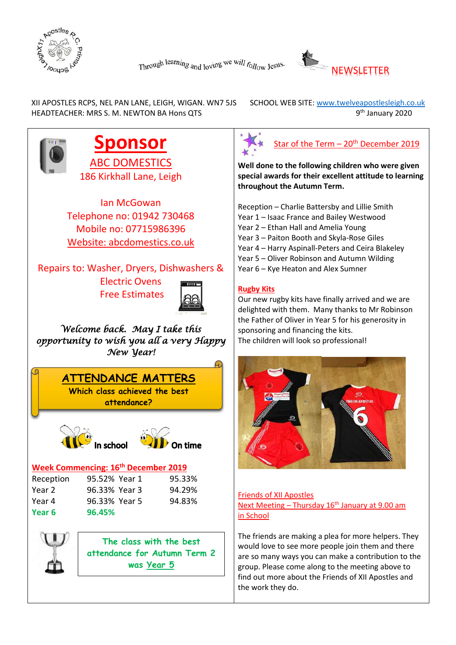



XII APOSTLES RCPS, NEL PAN LANE, LEIGH, WIGAN. WN7 5JS SCHOOL WEB SITE: www.twelveapostlesleigh.co.uk HEADTEACHER: MRS S. M. NEWTON BA Hons QTS **1988 1988** 9th January 2020





## Star of the Term – 20<sup>th</sup> December 2019

**Well done to the following children who were given special awards for their excellent attitude to learning throughout the Autumn Term.**

Reception – Charlie Battersby and Lillie Smith Year 1 – Isaac France and Bailey Westwood

- Year 2 Ethan Hall and Amelia Young
- Year 3 Paiton Booth and Skyla-Rose Giles
- Year 4 Harry Aspinall-Peters and Ceira Blakeley
- Year 5 Oliver Robinson and Autumn Wilding
- Year 6 Kye Heaton and Alex Sumner

#### **Rugby Kits**

Our new rugby kits have finally arrived and we are delighted with them. Many thanks to Mr Robinson the Father of Oliver in Year 5 for his generosity in sponsoring and financing the kits. The children will look so professional!



#### Friends of XII Apostles Next Meeting – Thursday  $16<sup>th</sup>$  January at 9.00 am in School

The friends are making a plea for more helpers. They would love to see more people join them and there are so many ways you can make a contribution to the group. Please come along to the meeting above to find out more about the Friends of XII Apostles and the work they do.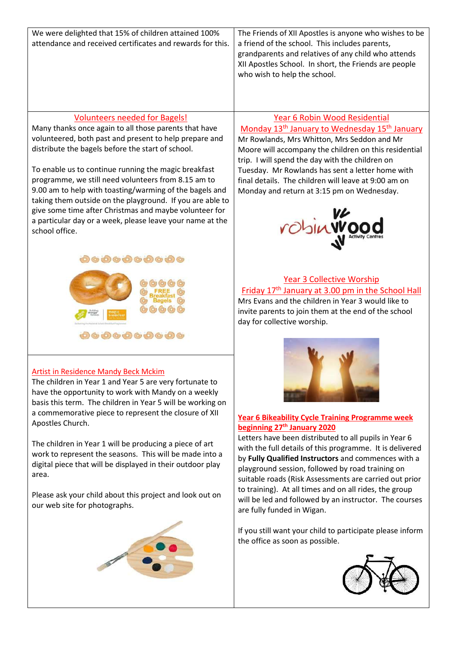| We were delighted that 15% of children attained 100%                                                        | The Friends of XII Apostles is anyone who wishes to be |
|-------------------------------------------------------------------------------------------------------------|--------------------------------------------------------|
| attendance and received certificates and rewards for this.   a friend of the school. This includes parents, |                                                        |
|                                                                                                             | grandparents and relatives of any child who attends    |

#### Volunteers needed for Bagels!

Many thanks once again to all those parents that have volunteered, both past and present to help prepare and distribute the bagels before the start of school.

To enable us to continue running the magic breakfast programme, we still need volunteers from 8.15 am to 9.00 am to help with toasting/warming of the bagels and taking them outside on the playground. If you are able to give some time after Christmas and maybe volunteer for a particular day or a week, please leave your name at the school office.



#### Artist in Residence Mandy Beck Mckim

The children in Year 1 and Year 5 are very fortunate to have the opportunity to work with Mandy on a weekly basis this term. The children in Year 5 will be working on a commemorative piece to represent the closure of XII Apostles Church.

The children in Year 1 will be producing a piece of art work to represent the seasons. This will be made into a digital piece that will be displayed in their outdoor play area.

Please ask your child about this project and look out on our web site for photographs.



### Year 6 Robin Wood Residential

XII Apostles School. In short, the Friends are people

who wish to help the school.

Monday 13<sup>th</sup> January to Wednesday 15<sup>th</sup> January Mr Rowlands, Mrs Whitton, Mrs Seddon and Mr Moore will accompany the children on this residential trip. I will spend the day with the children on Tuesday. Mr Rowlands has sent a letter home with final details. The children will leave at 9:00 am on Monday and return at 3:15 pm on Wednesday.



#### Year 3 Collective Worship

Friday 17<sup>th</sup> January at 3.00 pm in the School Hall Mrs Evans and the children in Year 3 would like to invite parents to join them at the end of the school day for collective worship.



#### **Year 6 Bikeability Cycle Training Programme week beginning 27th January 2020**

Letters have been distributed to all pupils in Year 6 with the full details of this programme. It is delivered by **Fully Qualified Instructors** and commences with a playground session, followed by road training on suitable roads (Risk Assessments are carried out prior to training). At all times and on all rides, the group will be led and followed by an instructor. The courses are fully funded in Wigan.

If you still want your child to participate please inform the office as soon as possible.